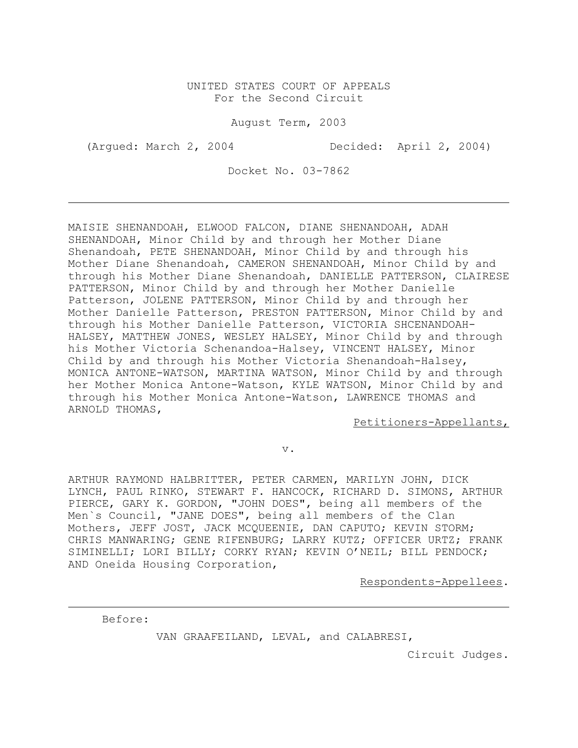## UNITED STATES COURT OF APPEALS For the Second Circuit

August Term, 2003

(Argued: March 2, 2004 Decided: April 2, 2004)

Docket No. 03-7862

MAISIE SHENANDOAH, ELWOOD FALCON, DIANE SHENANDOAH, ADAH SHENANDOAH, Minor Child by and through her Mother Diane Shenandoah, PETE SHENANDOAH, Minor Child by and through his Mother Diane Shenandoah, CAMERON SHENANDOAH, Minor Child by and through his Mother Diane Shenandoah, DANIELLE PATTERSON, CLAIRESE PATTERSON, Minor Child by and through her Mother Danielle Patterson, JOLENE PATTERSON, Minor Child by and through her Mother Danielle Patterson, PRESTON PATTERSON, Minor Child by and through his Mother Danielle Patterson, VICTORIA SHCENANDOAH-HALSEY, MATTHEW JONES, WESLEY HALSEY, Minor Child by and through his Mother Victoria Schenandoa-Halsey, VINCENT HALSEY, Minor Child by and through his Mother Victoria Shenandoah-Halsey, MONICA ANTONE-WATSON, MARTINA WATSON, Minor Child by and through her Mother Monica Antone-Watson, KYLE WATSON, Minor Child by and through his Mother Monica Antone-Watson, LAWRENCE THOMAS and ARNOLD THOMAS,

Petitioners-Appellants,

v.

ARTHUR RAYMOND HALBRITTER, PETER CARMEN, MARILYN JOHN, DICK LYNCH, PAUL RINKO, STEWART F. HANCOCK, RICHARD D. SIMONS, ARTHUR PIERCE, GARY K. GORDON, "JOHN DOES", being all members of the Men`s Council, "JANE DOES", being all members of the Clan Mothers, JEFF JOST, JACK MCQUEENIE, DAN CAPUTO; KEVIN STORM; CHRIS MANWARING; GENE RIFENBURG; LARRY KUTZ; OFFICER URTZ; FRANK SIMINELLI; LORI BILLY; CORKY RYAN; KEVIN O'NEIL; BILL PENDOCK; AND Oneida Housing Corporation,

Respondents-Appellees.

Before:

VAN GRAAFEILAND, LEVAL, and CALABRESI,

Circuit Judges.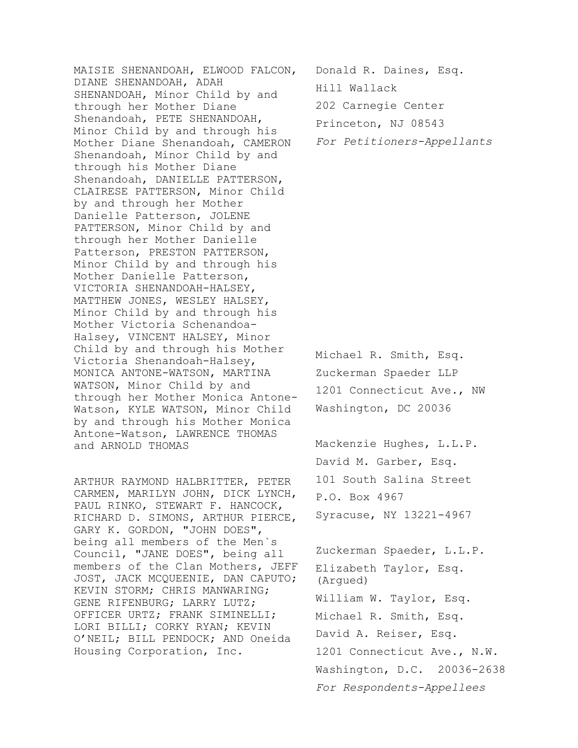MAISIE SHENANDOAH, ELWOOD FALCON, DIANE SHENANDOAH, ADAH SHENANDOAH, Minor Child by and through her Mother Diane Shenandoah, PETE SHENANDOAH, Minor Child by and through his Mother Diane Shenandoah, CAMERON Shenandoah, Minor Child by and through his Mother Diane Shenandoah, DANIELLE PATTERSON, CLAIRESE PATTERSON, Minor Child by and through her Mother Danielle Patterson, JOLENE PATTERSON, Minor Child by and through her Mother Danielle Patterson, PRESTON PATTERSON, Minor Child by and through his Mother Danielle Patterson, VICTORIA SHENANDOAH-HALSEY, MATTHEW JONES, WESLEY HALSEY, Minor Child by and through his Mother Victoria Schenandoa-Halsey, VINCENT HALSEY, Minor Child by and through his Mother Victoria Shenandoah-Halsey, MONICA ANTONE-WATSON, MARTINA WATSON, Minor Child by and through her Mother Monica Antone-Watson, KYLE WATSON, Minor Child by and through his Mother Monica Antone-Watson, LAWRENCE THOMAS and ARNOLD THOMAS

ARTHUR RAYMOND HALBRITTER, PETER CARMEN, MARILYN JOHN, DICK LYNCH, PAUL RINKO, STEWART F. HANCOCK, RICHARD D. SIMONS, ARTHUR PIERCE, GARY K. GORDON, "JOHN DOES", being all members of the Men`s Council, "JANE DOES", being all members of the Clan Mothers, JEFF JOST, JACK MCQUEENIE, DAN CAPUTO; KEVIN STORM; CHRIS MANWARING; GENE RIFENBURG; LARRY LUTZ; OFFICER URTZ; FRANK SIMINELLI; LORI BILLI; CORKY RYAN; KEVIN O'NEIL; BILL PENDOCK; AND Oneida Housing Corporation, Inc.

Donald R. Daines, Esq.

Hill Wallack

202 Carnegie Center

Princeton, NJ 08543

For Petitioners-Appellants

Michael R. Smith, Esq. Zuckerman Spaeder LLP 1201 Connecticut Ave., NW Washington, DC 20036

Mackenzie Hughes, L.L.P. David M. Garber, Esq. 101 South Salina Street P.O. Box 4967 Syracuse, NY 13221-4967

Zuckerman Spaeder, L.L.P. Elizabeth Taylor, Esq. (Argued) William W. Taylor, Esq. Michael R. Smith, Esq. David A. Reiser, Esq. 1201 Connecticut Ave., N.W. Washington, D.C. 20036-2638 For Respondents-Appellees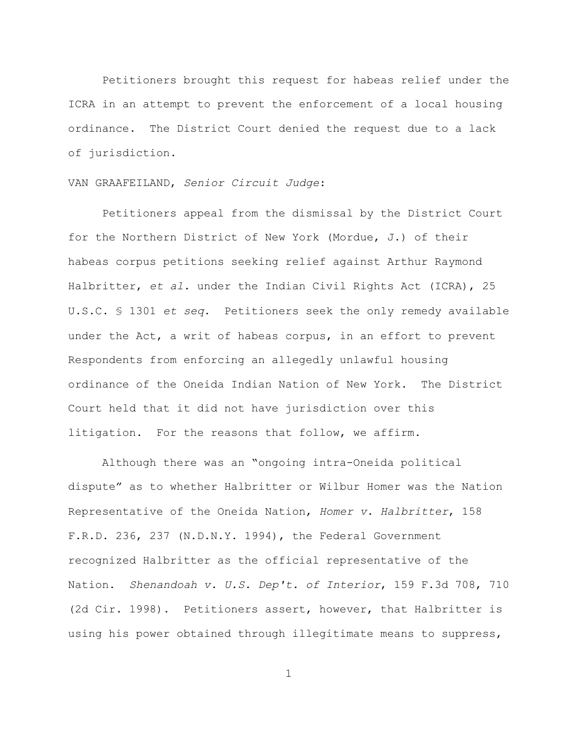Petitioners brought this request for habeas relief under the ICRA in an attempt to prevent the enforcement of a local housing ordinance. The District Court denied the request due to a lack of jurisdiction.

## VAN GRAAFEILAND, Senior Circuit Judge:

Petitioners appeal from the dismissal by the District Court for the Northern District of New York (Mordue, J.) of their habeas corpus petitions seeking relief against Arthur Raymond Halbritter, et al. under the Indian Civil Rights Act (ICRA), 25 U.S.C. § 1301 et seq. Petitioners seek the only remedy available under the Act, a writ of habeas corpus, in an effort to prevent Respondents from enforcing an allegedly unlawful housing ordinance of the Oneida Indian Nation of New York. The District Court held that it did not have jurisdiction over this litigation. For the reasons that follow, we affirm.

Although there was an "ongoing intra-Oneida political dispute" as to whether Halbritter or Wilbur Homer was the Nation Representative of the Oneida Nation, Homer v. Halbritter, 158 F.R.D. 236, 237 (N.D.N.Y. 1994), the Federal Government recognized Halbritter as the official representative of the Nation. Shenandoah v. U.S. Dep't. of Interior, 159 F.3d 708, 710 (2d Cir. 1998). Petitioners assert, however, that Halbritter is using his power obtained through illegitimate means to suppress,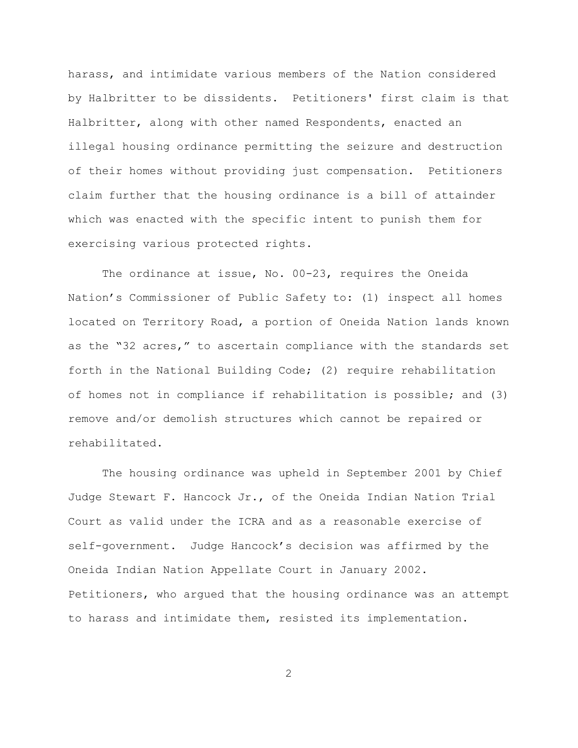harass, and intimidate various members of the Nation considered by Halbritter to be dissidents. Petitioners' first claim is that Halbritter, along with other named Respondents, enacted an illegal housing ordinance permitting the seizure and destruction of their homes without providing just compensation. Petitioners claim further that the housing ordinance is a bill of attainder which was enacted with the specific intent to punish them for exercising various protected rights.

The ordinance at issue, No. 00-23, requires the Oneida Nation's Commissioner of Public Safety to: (1) inspect all homes located on Territory Road, a portion of Oneida Nation lands known as the "32 acres," to ascertain compliance with the standards set forth in the National Building Code; (2) require rehabilitation of homes not in compliance if rehabilitation is possible; and (3) remove and/or demolish structures which cannot be repaired or rehabilitated.

The housing ordinance was upheld in September 2001 by Chief Judge Stewart F. Hancock Jr., of the Oneida Indian Nation Trial Court as valid under the ICRA and as a reasonable exercise of self-government. Judge Hancock's decision was affirmed by the Oneida Indian Nation Appellate Court in January 2002. Petitioners, who argued that the housing ordinance was an attempt to harass and intimidate them, resisted its implementation.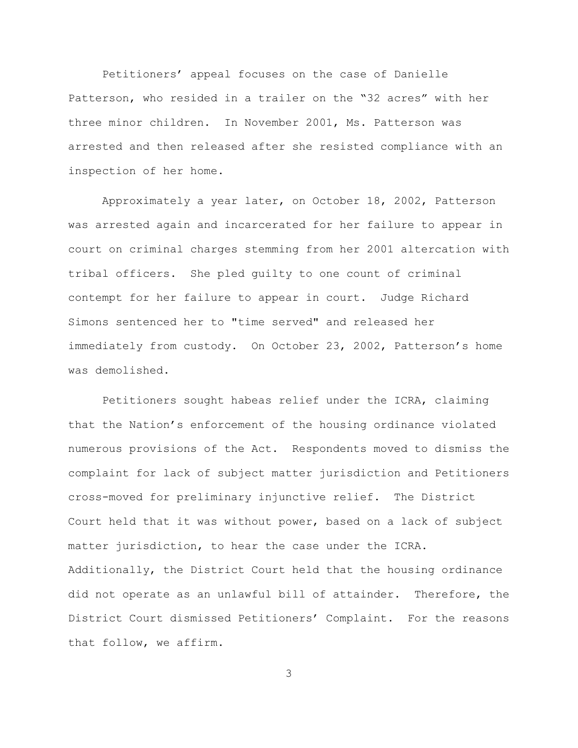Petitioners' appeal focuses on the case of Danielle Patterson, who resided in a trailer on the "32 acres" with her three minor children. In November 2001, Ms. Patterson was arrested and then released after she resisted compliance with an inspection of her home.

Approximately a year later, on October 18, 2002, Patterson was arrested again and incarcerated for her failure to appear in court on criminal charges stemming from her 2001 altercation with tribal officers. She pled guilty to one count of criminal contempt for her failure to appear in court. Judge Richard Simons sentenced her to "time served" and released her immediately from custody. On October 23, 2002, Patterson's home was demolished.

Petitioners sought habeas relief under the ICRA, claiming that the Nation's enforcement of the housing ordinance violated numerous provisions of the Act. Respondents moved to dismiss the complaint for lack of subject matter jurisdiction and Petitioners cross-moved for preliminary injunctive relief. The District Court held that it was without power, based on a lack of subject matter jurisdiction, to hear the case under the ICRA. Additionally, the District Court held that the housing ordinance did not operate as an unlawful bill of attainder. Therefore, the District Court dismissed Petitioners' Complaint. For the reasons that follow, we affirm.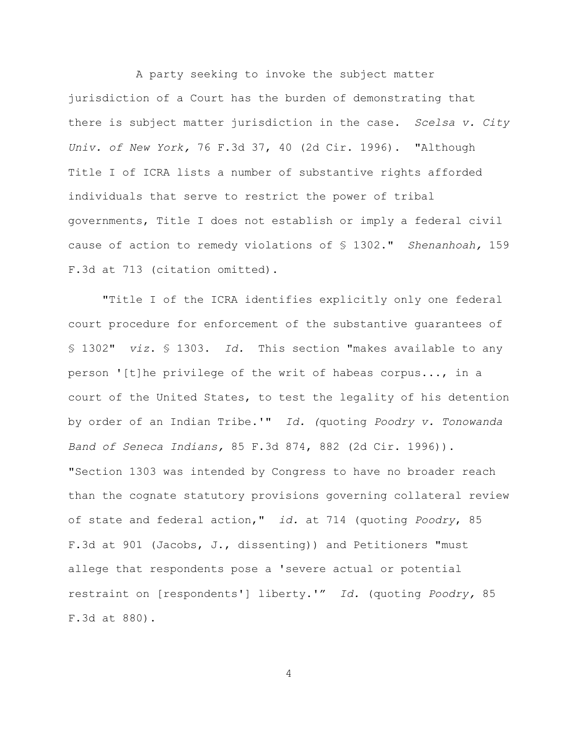A party seeking to invoke the subject matter jurisdiction of a Court has the burden of demonstrating that there is subject matter jurisdiction in the case. Scelsa v. City Univ. of New York, 76 F.3d 37, 40 (2d Cir. 1996). "Although Title I of ICRA lists a number of substantive rights afforded individuals that serve to restrict the power of tribal governments, Title I does not establish or imply a federal civil cause of action to remedy violations of  $\S$  1302." Shenanhoah, 159 F.3d at 713 (citation omitted).

"Title I of the ICRA identifies explicitly only one federal court procedure for enforcement of the substantive guarantees of § 1302" viz. § 1303. Id. This section "makes available to any person '[t]he privilege of the writ of habeas corpus..., in a court of the United States, to test the legality of his detention by order of an Indian Tribe.'" Id. (quoting Poodry v. Tonowanda Band of Seneca Indians, 85 F.3d 874, 882 (2d Cir. 1996)). "Section 1303 was intended by Congress to have no broader reach than the cognate statutory provisions governing collateral review of state and federal action," id. at 714 (quoting Poodry, 85 F.3d at 901 (Jacobs, J., dissenting)) and Petitioners "must allege that respondents pose a 'severe actual or potential restraint on [respondents'] liberty.'" Id. (quoting Poodry, 85 F.3d at 880).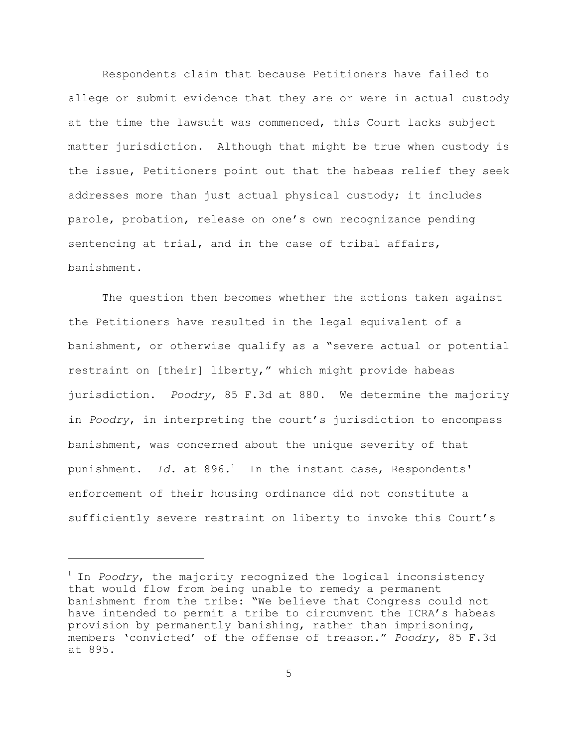Respondents claim that because Petitioners have failed to allege or submit evidence that they are or were in actual custody at the time the lawsuit was commenced, this Court lacks subject matter jurisdiction. Although that might be true when custody is the issue, Petitioners point out that the habeas relief they seek addresses more than just actual physical custody; it includes parole, probation, release on one's own recognizance pending sentencing at trial, and in the case of tribal affairs, banishment.

The question then becomes whether the actions taken against the Petitioners have resulted in the legal equivalent of a banishment, or otherwise qualify as a "severe actual or potential restraint on [their] liberty," which might provide habeas jurisdiction. Poodry, 85 F.3d at 880. We determine the majority in Poodry, in interpreting the court's jurisdiction to encompass banishment, was concerned about the unique severity of that punishment. Id. at  $896.1$  In the instant case, Respondents' enforcement of their housing ordinance did not constitute a sufficiently severe restraint on liberty to invoke this Court's

 $1$  In Poodry, the majority recognized the logical inconsistency that would flow from being unable to remedy a permanent banishment from the tribe: "We believe that Congress could not have intended to permit a tribe to circumvent the ICRA's habeas provision by permanently banishing, rather than imprisoning, members 'convicted' of the offense of treason." Poodry, 85 F.3d at 895.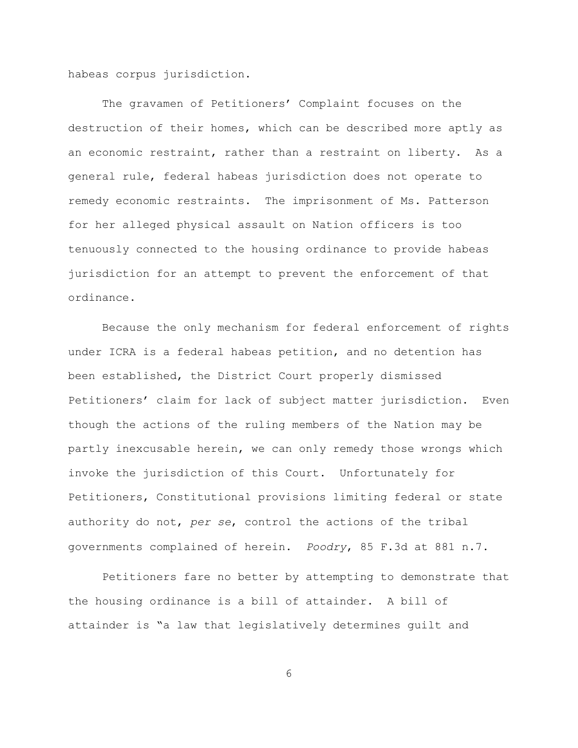habeas corpus jurisdiction.

The gravamen of Petitioners' Complaint focuses on the destruction of their homes, which can be described more aptly as an economic restraint, rather than a restraint on liberty. As a general rule, federal habeas jurisdiction does not operate to remedy economic restraints. The imprisonment of Ms. Patterson for her alleged physical assault on Nation officers is too tenuously connected to the housing ordinance to provide habeas jurisdiction for an attempt to prevent the enforcement of that ordinance.

Because the only mechanism for federal enforcement of rights under ICRA is a federal habeas petition, and no detention has been established, the District Court properly dismissed Petitioners' claim for lack of subject matter jurisdiction. Even though the actions of the ruling members of the Nation may be partly inexcusable herein, we can only remedy those wrongs which invoke the jurisdiction of this Court. Unfortunately for Petitioners, Constitutional provisions limiting federal or state authority do not, per se, control the actions of the tribal governments complained of herein. Poodry, 85 F.3d at 881 n.7.

Petitioners fare no better by attempting to demonstrate that the housing ordinance is a bill of attainder. A bill of attainder is "a law that legislatively determines guilt and